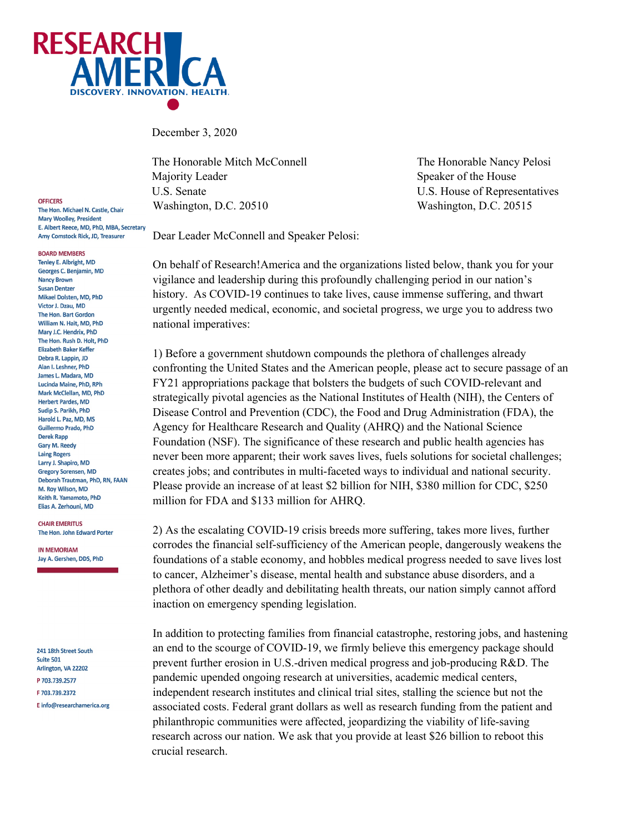

December 3, 2020

The Honorable Mitch McConnell The Honorable Nancy Pelosi Majority Leader Speaker of the House U.S. Senate U.S. House of Representatives Washington, D.C. 20510 Washington, D.C. 20515

Dear Leader McConnell and Speaker Pelosi:

On behalf of Research!America and the organizations listed below, thank you for your vigilance and leadership during this profoundly challenging period in our nation's history. As COVID-19 continues to take lives, cause immense suffering, and thwart urgently needed medical, economic, and societal progress, we urge you to address two national imperatives:

1) Before a government shutdown compounds the plethora of challenges already confronting the United States and the American people, please act to secure passage of an FY21 appropriations package that bolsters the budgets of such COVID-relevant and strategically pivotal agencies as the National Institutes of Health (NIH), the Centers of Disease Control and Prevention (CDC), the Food and Drug Administration (FDA), the Agency for Healthcare Research and Quality (AHRQ) and the National Science Foundation (NSF). The significance of these research and public health agencies has never been more apparent; their work saves lives, fuels solutions for societal challenges; creates jobs; and contributes in multi-faceted ways to individual and national security. Please provide an increase of at least \$2 billion for NIH, \$380 million for CDC, \$250 million for FDA and \$133 million for AHRQ.

2) As the escalating COVID-19 crisis breeds more suffering, takes more lives, further corrodes the financial self-sufficiency of the American people, dangerously weakens the foundations of a stable economy, and hobbles medical progress needed to save lives lost to cancer, Alzheimer's disease, mental health and substance abuse disorders, and a plethora of other deadly and debilitating health threats, our nation simply cannot afford inaction on emergency spending legislation.

In addition to protecting families from financial catastrophe, restoring jobs, and hastening an end to the scourge of COVID-19, we firmly believe this emergency package should prevent further erosion in U.S.-driven medical progress and job-producing R&D. The pandemic upended ongoing research at universities, academic medical centers, independent research institutes and clinical trial sites, stalling the science but not the associated costs. Federal grant dollars as well as research funding from the patient and philanthropic communities were affected, jeopardizing the viability of life-saving research across our nation. We ask that you provide at least \$26 billion to reboot this crucial research.

OFFICERS The Hon, Michael N. Castle, Chair **Mary Woolley, President** E. Albert Reece, MD, PhD, MBA, Secretary Amy Comstock Rick, JD, Treasurer

**BOARD MEMBERS** 

Tenley E. Albright, MD Georges C. Benjamin, MD **Nancy Brown Susan Dentzer** Mikael Dolsten, MD, PhD Victor J. Dzau, MD The Hon. Bart Gordon William N. Hait, MD, PhD Mary J.C. Hendrix, PhD The Hon, Rush D. Holt, PhD **Elizabeth Baker Keffer** Debra R. Lappin, JD Alan I. Leshner, PhD James L. Madara, MD Lucinda Maine, PhD, RPh Mark McClellan, MD, PhD **Herbert Pardes, MD** Sudip S. Parikh, PhD Harold L. Paz, MD, MS Guillermo Prado, PhD **Derek Rapp Gary M. Reedy Laing Rogers** Larry J. Shapiro, MD Gregory Sorensen, MD Deborah Trautman, PhD, RN, FAAN M. Roy Wilson, MD Keith R. Yamamoto, PhD Elias A. Zerhouni, MD

**CHAIR EMERITUS** The Hon. John Edward Porter

**IN MEMORIAM** Jay A. Gershen, DDS, PhD

241 18th Street South Suite 501 Arlington, VA 22202 P 703.739.2577 F 703.739.2372 E info@researchamerica.org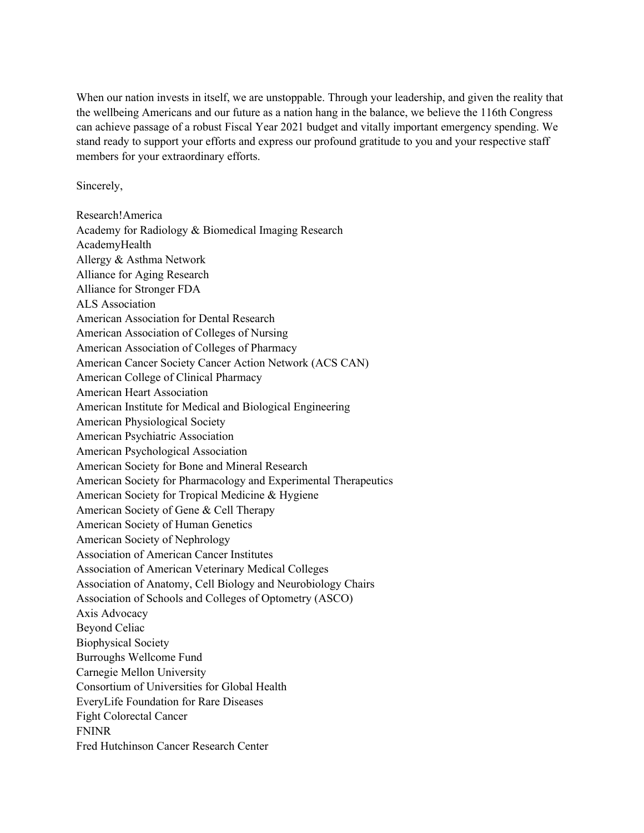When our nation invests in itself, we are unstoppable. Through your leadership, and given the reality that the wellbeing Americans and our future as a nation hang in the balance, we believe the 116th Congress can achieve passage of a robust Fiscal Year 2021 budget and vitally important emergency spending. We stand ready to support your efforts and express our profound gratitude to you and your respective staff members for your extraordinary efforts.

Sincerely,

Research!America Academy for Radiology & Biomedical Imaging Research AcademyHealth Allergy & Asthma Network Alliance for Aging Research Alliance for Stronger FDA ALS Association American Association for Dental Research American Association of Colleges of Nursing American Association of Colleges of Pharmacy American Cancer Society Cancer Action Network (ACS CAN) American College of Clinical Pharmacy American Heart Association American Institute for Medical and Biological Engineering American Physiological Society American Psychiatric Association American Psychological Association American Society for Bone and Mineral Research American Society for Pharmacology and Experimental Therapeutics American Society for Tropical Medicine & Hygiene American Society of Gene & Cell Therapy American Society of Human Genetics American Society of Nephrology Association of American Cancer Institutes Association of American Veterinary Medical Colleges Association of Anatomy, Cell Biology and Neurobiology Chairs Association of Schools and Colleges of Optometry (ASCO) Axis Advocacy Beyond Celiac Biophysical Society Burroughs Wellcome Fund Carnegie Mellon University Consortium of Universities for Global Health EveryLife Foundation for Rare Diseases Fight Colorectal Cancer FNINR Fred Hutchinson Cancer Research Center